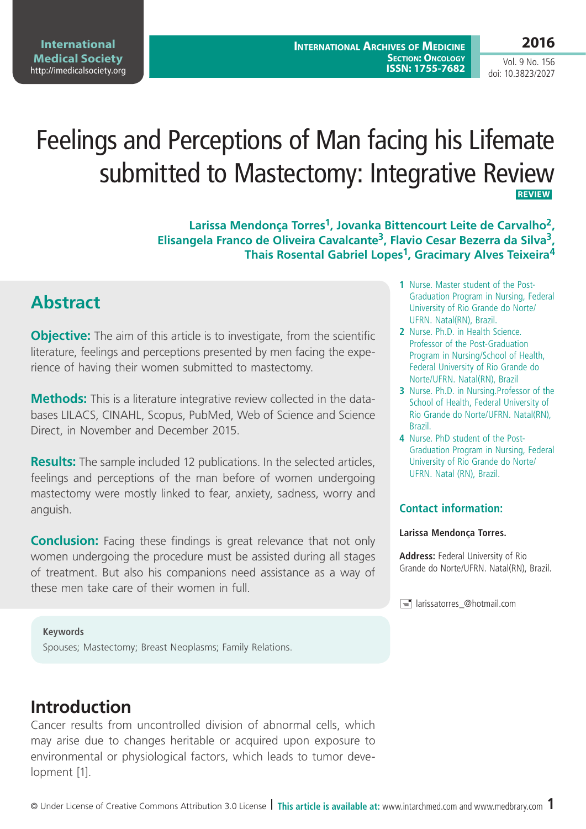**2016**

Vol. 9 No. 156 doi: 10.3823/2027

# Feelings and Perceptions of Man facing his Lifemate submitted to Mastectomy: Integrative Review **REVIEW**

**Larissa Mendonça Torres1, Jovanka Bittencourt Leite de Carvalho2, Elisangela Franco de Oliveira Cavalcante3, Flavio Cesar Bezerra da Silva3, Thais Rosental Gabriel Lopes1, Gracimary Alves Teixeira4**

# **Abstract**

**Objective:** The aim of this article is to investigate, from the scientific literature, feelings and perceptions presented by men facing the experience of having their women submitted to mastectomy.

**Methods:** This is a literature integrative review collected in the databases LILACS, CINAHL, Scopus, PubMed, Web of Science and Science Direct, in November and December 2015.

**Results:** The sample included 12 publications. In the selected articles, feelings and perceptions of the man before of women undergoing mastectomy were mostly linked to fear, anxiety, sadness, worry and anguish.

**Conclusion:** Facing these findings is great relevance that not only women undergoing the procedure must be assisted during all stages of treatment. But also his companions need assistance as a way of these men take care of their women in full.

#### **1** Nurse. Master student of the Post-Graduation Program in Nursing, Federal University of Rio Grande do Norte/ UFRN. Natal(RN), Brazil.

- **2** Nurse. Ph.D. in Health Science. Professor of the Post-Graduation Program in Nursing/School of Health, Federal University of Rio Grande do Norte/UFRN. Natal(RN), Brazil
- **3** Nurse. Ph.D. in Nursing.Professor of the School of Health, Federal University of Rio Grande do Norte/UFRN. Natal(RN), Brazil.
- **4** Nurse. PhD student of the Post-Graduation Program in Nursing, Federal University of Rio Grande do Norte/ UFRN. Natal (RN), Brazil.

#### **Contact information:**

#### **Larissa Mendonça Torres.**

**Address:** Federal University of Rio Grande do Norte/UFRN. Natal(RN), Brazil.

 $\equiv$  larissatorres @hotmail.com

#### **Keywords**

Spouses; Mastectomy; Breast Neoplasms; Family Relations.

# **Introduction**

Cancer results from uncontrolled division of abnormal cells, which may arise due to changes heritable or acquired upon exposure to environmental or physiological factors, which leads to tumor development [1].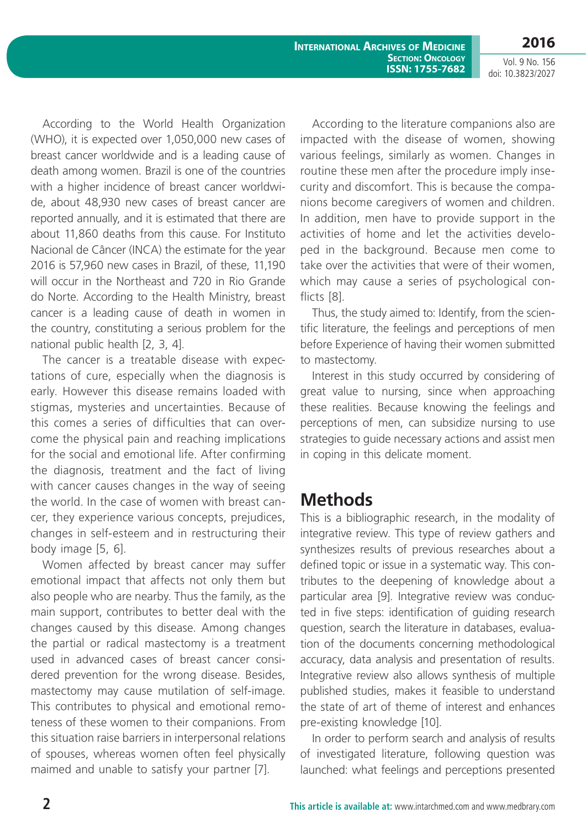According to the World Health Organization (WHO), it is expected over 1,050,000 new cases of breast cancer worldwide and is a leading cause of death among women. Brazil is one of the countries with a higher incidence of breast cancer worldwide, about 48,930 new cases of breast cancer are reported annually, and it is estimated that there are about 11,860 deaths from this cause. For Instituto Nacional de Câncer (INCA) the estimate for the year 2016 is 57,960 new cases in Brazil, of these, 11,190 will occur in the Northeast and 720 in Rio Grande do Norte. According to the Health Ministry, breast cancer is a leading cause of death in women in the country, constituting a serious problem for the national public health [2, 3, 4].

The cancer is a treatable disease with expectations of cure, especially when the diagnosis is early. However this disease remains loaded with stigmas, mysteries and uncertainties. Because of this comes a series of difficulties that can overcome the physical pain and reaching implications for the social and emotional life. After confirming the diagnosis, treatment and the fact of living with cancer causes changes in the way of seeing the world. In the case of women with breast cancer, they experience various concepts, prejudices, changes in self-esteem and in restructuring their body image [5, 6].

Women affected by breast cancer may suffer emotional impact that affects not only them but also people who are nearby. Thus the family, as the main support, contributes to better deal with the changes caused by this disease. Among changes the partial or radical mastectomy is a treatment used in advanced cases of breast cancer considered prevention for the wrong disease. Besides, mastectomy may cause mutilation of self-image. This contributes to physical and emotional remoteness of these women to their companions. From this situation raise barriers in interpersonal relations of spouses, whereas women often feel physically maimed and unable to satisfy your partner [7].

According to the literature companions also are impacted with the disease of women, showing various feelings, similarly as women. Changes in routine these men after the procedure imply insecurity and discomfort. This is because the companions become caregivers of women and children. In addition, men have to provide support in the activities of home and let the activities developed in the background. Because men come to take over the activities that were of their women, which may cause a series of psychological conflicts [8].

Thus, the study aimed to: Identify, from the scientific literature, the feelings and perceptions of men before Experience of having their women submitted to mastectomy.

Interest in this study occurred by considering of great value to nursing, since when approaching these realities. Because knowing the feelings and perceptions of men, can subsidize nursing to use strategies to guide necessary actions and assist men in coping in this delicate moment.

## **Methods**

This is a bibliographic research, in the modality of integrative review. This type of review gathers and synthesizes results of previous researches about a defined topic or issue in a systematic way. This contributes to the deepening of knowledge about a particular area [9]. Integrative review was conducted in five steps: identification of guiding research question, search the literature in databases, evaluation of the documents concerning methodological accuracy, data analysis and presentation of results. Integrative review also allows synthesis of multiple published studies, makes it feasible to understand the state of art of theme of interest and enhances pre-existing knowledge [10].

In order to perform search and analysis of results of investigated literature, following question was launched: what feelings and perceptions presented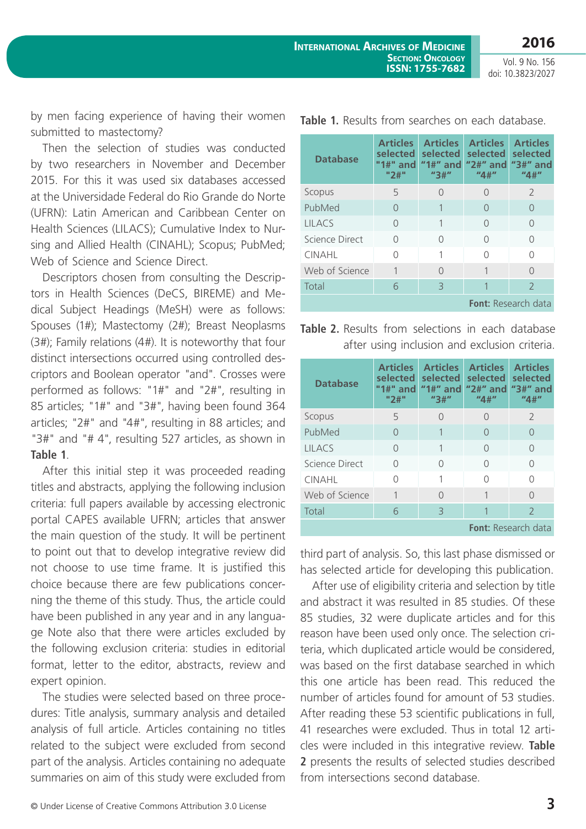by men facing experience of having their women submitted to mastectomy?

Then the selection of studies was conducted by two researchers in November and December 2015. For this it was used six databases accessed at the Universidade Federal do Rio Grande do Norte (UFRN): Latin American and Caribbean Center on Health Sciences (LILACS); Cumulative Index to Nursing and Allied Health (CINAHL); Scopus; PubMed; Web of Science and Science Direct.

Descriptors chosen from consulting the Descriptors in Health Sciences (DeCS, BIREME) and Medical Subject Headings (MeSH) were as follows: Spouses (1#); Mastectomy (2#); Breast Neoplasms (3#); Family relations (4#). It is noteworthy that four distinct intersections occurred using controlled descriptors and Boolean operator "and". Crosses were performed as follows: "1#" and "2#", resulting in 85 articles; "1#" and "3#", having been found 364 articles; "2#" and "4#", resulting in 88 articles; and "3#" and "# 4", resulting 527 articles, as shown in **Table 1**.

After this initial step it was proceeded reading titles and abstracts, applying the following inclusion criteria: full papers available by accessing electronic portal CAPES available UFRN; articles that answer the main question of the study. It will be pertinent to point out that to develop integrative review did not choose to use time frame. It is justified this choice because there are few publications concerning the theme of this study. Thus, the article could have been published in any year and in any language Note also that there were articles excluded by the following exclusion criteria: studies in editorial format, letter to the editor, abstracts, review and expert opinion.

The studies were selected based on three procedures: Title analysis, summary analysis and detailed analysis of full article. Articles containing no titles related to the subject were excluded from second part of the analysis. Articles containing no adequate summaries on aim of this study were excluded from

| <b>Database</b>            | <b>Articles</b><br><b>selected</b><br>"1#" and<br>"2" | <b>Articles</b><br>selected<br>"1#" and<br>"3#" | <b>Articles</b><br>selected<br>"2#" and "3#" and<br>"4#" | <b>Articles</b><br>selected<br>"4#" |  |  |  |
|----------------------------|-------------------------------------------------------|-------------------------------------------------|----------------------------------------------------------|-------------------------------------|--|--|--|
| Scopus                     | 5                                                     | ∩                                               | ∩                                                        | $\mathcal{P}$                       |  |  |  |
| PubMed                     | $\left( \right)$                                      |                                                 | $\cap$                                                   | ∩<br>∩<br>Λ                         |  |  |  |
| <b>LILACS</b>              | ∩                                                     |                                                 | ∩                                                        |                                     |  |  |  |
| Science Direct             | Ω                                                     | Ω                                               | Ω                                                        |                                     |  |  |  |
| <b>CINAHL</b>              | Ω                                                     |                                                 | Λ                                                        | Λ                                   |  |  |  |
| Web of Science             | 1                                                     | ∩                                               |                                                          | ∩                                   |  |  |  |
| Total                      | 6                                                     | $\mathcal{B}$                                   |                                                          | $\overline{2}$                      |  |  |  |
| <b>Font:</b> Research data |                                                       |                                                 |                                                          |                                     |  |  |  |

**Table 1.** Results from searches on each database.

**Table 2.** Results from selections in each database after using inclusion and exclusion criteria.

| <b>Database</b>            | <b>Articles</b><br><b>selected</b><br>"1#" and<br>"2#" | <b>Articles</b><br>selected<br>"3#" | <b>Articles</b><br>selected<br>"1#" and "2#" and<br>"4#" | <b>Articles</b><br>selected<br>$"3#"$ and<br>"4#" |  |  |  |
|----------------------------|--------------------------------------------------------|-------------------------------------|----------------------------------------------------------|---------------------------------------------------|--|--|--|
| Scopus                     | 5                                                      |                                     | $\cap$                                                   | $\mathcal{P}$                                     |  |  |  |
| PubMed                     | $\left( \right)$                                       |                                     | $\cap$                                                   |                                                   |  |  |  |
| <b>LILACS</b>              | ∩                                                      |                                     | ∩                                                        | ∩<br>Λ<br>∩                                       |  |  |  |
| Science Direct             | ∩                                                      |                                     | ∩                                                        |                                                   |  |  |  |
| <b>CINAHL</b>              |                                                        | 1                                   | ∩                                                        |                                                   |  |  |  |
| Web of Science             |                                                        | ∩                                   | 1                                                        | ∩                                                 |  |  |  |
| Total                      | 6                                                      | 3                                   |                                                          | $\mathcal{P}$                                     |  |  |  |
| <b>Font:</b> Research data |                                                        |                                     |                                                          |                                                   |  |  |  |

third part of analysis. So, this last phase dismissed or has selected article for developing this publication.

After use of eligibility criteria and selection by title and abstract it was resulted in 85 studies. Of these 85 studies, 32 were duplicate articles and for this reason have been used only once. The selection criteria, which duplicated article would be considered, was based on the first database searched in which this one article has been read. This reduced the number of articles found for amount of 53 studies. After reading these 53 scientific publications in full, 41 researches were excluded. Thus in total 12 articles were included in this integrative review. **Table 2** presents the results of selected studies described from intersections second database.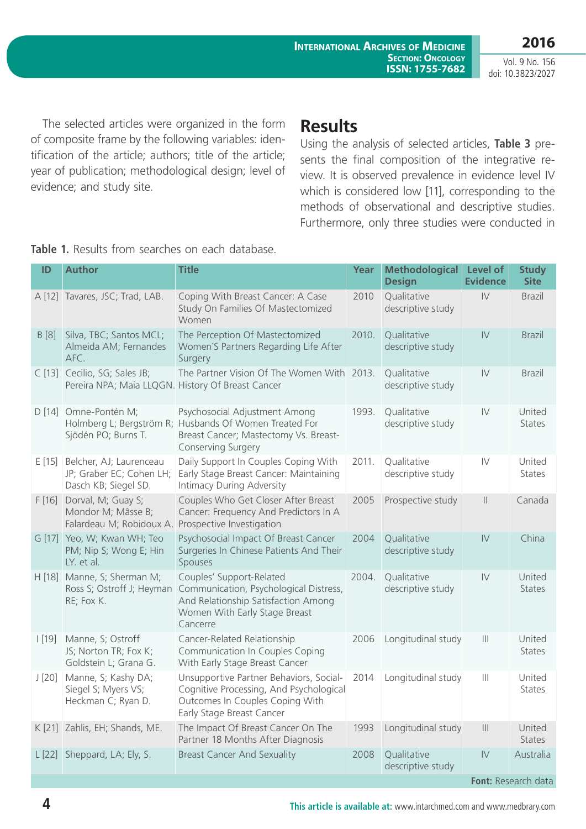**2016** Vol. 9 No. 156

doi: 10.3823/2027

The selected articles were organized in the form of composite frame by the following variables: identification of the article; authors; title of the article; year of publication; methodological design; level of evidence; and study site.

### **Results**

Using the analysis of selected articles, **Table 3** presents the final composition of the integrative review. It is observed prevalence in evidence level IV which is considered low [11], corresponding to the methods of observational and descriptive studies. Furthermore, only three studies were conducted in

| ID                   | <b>Author</b>                                                                      | <b>Title</b>                                                                                                                                                  | <b>Year</b> | <b>Methodological</b><br><b>Design</b> | <b>Level of</b><br><b>Evidence</b>    | <b>Study</b><br><b>Site</b> |  |
|----------------------|------------------------------------------------------------------------------------|---------------------------------------------------------------------------------------------------------------------------------------------------------------|-------------|----------------------------------------|---------------------------------------|-----------------------------|--|
|                      | A [12] Tavares, JSC; Trad, LAB.                                                    | Coping With Breast Cancer: A Case<br>Study On Families Of Mastectomized<br>Women                                                                              | 2010        | Qualitative<br>descriptive study       | $\mathsf{IV}$                         | <b>Brazil</b>               |  |
| B[8]                 | Silva, TBC; Santos MCL;<br>Almeida AM; Fernandes<br>AFC.                           | The Perception Of Mastectomized<br>Women'S Partners Regarding Life After<br>Surgery                                                                           | 2010.       | Qualitative<br>descriptive study       | $\mathsf{IV}$                         | <b>Brazil</b>               |  |
|                      | C [13] Cecilio, SG; Sales JB;<br>Pereira NPA; Maia LLQGN. History Of Breast Cancer | The Partner Vision Of The Women With 2013.                                                                                                                    |             | Qualitative<br>descriptive study       | $\mathsf{IV}$                         | <b>Brazil</b>               |  |
| D[14]                | Omne-Pontén M;<br>Sjödén PO; Burns T.                                              | Psychosocial Adjustment Among<br>Holmberg L; Bergström R; Husbands Of Women Treated For<br>Breast Cancer; Mastectomy Vs. Breast-<br><b>Conserving Surgery</b> | 1993.       | Qualitative<br>descriptive study       | $\mathsf{IV}$                         | United<br><b>States</b>     |  |
| E[15]                | Belcher, AJ; Laurenceau<br>JP; Graber EC; Cohen LH;<br>Dasch KB; Siegel SD.        | Daily Support In Couples Coping With<br>Early Stage Breast Cancer: Maintaining<br>Intimacy During Adversity                                                   | 2011.       | Qualitative<br>descriptive study       | $\mathsf{IV}$                         | United<br><b>States</b>     |  |
| F[16]                | Dorval, M; Guay S;<br>Mondor M; Mâsse B;<br>Falardeau M; Robidoux A.               | Couples Who Get Closer After Breast<br>Cancer: Frequency And Predictors In A<br>Prospective Investigation                                                     | 2005        | Prospective study                      | $\mathbb{I}$                          | Canada                      |  |
|                      | G [17] Yeo, W; Kwan WH; Teo<br>PM; Nip S; Wong E; Hin<br>LY. et al.                | Psychosocial Impact Of Breast Cancer<br>Surgeries In Chinese Patients And Their<br>Spouses                                                                    | 2004        | Qualitative<br>descriptive study       | $\mathsf{IV}$                         | China                       |  |
| H [18]               | Manne, S; Sherman M;<br>Ross S; Ostroff J; Heyman<br>RE; Fox K.                    | Couples' Support-Related<br>Communication, Psychological Distress,<br>And Relationship Satisfaction Among<br>Women With Early Stage Breast<br>Cancerre        | 2004.       | Qualitative<br>descriptive study       | $\mathsf{IV}$                         | United<br><b>States</b>     |  |
| $\lfloor 19 \rfloor$ | Manne, S; Ostroff<br>JS; Norton TR; Fox K;<br>Goldstein L; Grana G.                | Cancer-Related Relationship<br>Communication In Couples Coping<br>With Early Stage Breast Cancer                                                              | 2006        | Longitudinal study                     | $\begin{array}{c} \hline \end{array}$ | United<br><b>States</b>     |  |
| J[20]                | Manne, S; Kashy DA;<br>Siegel S; Myers VS;<br>Heckman C; Ryan D.                   | Unsupportive Partner Behaviors, Social-<br>Cognitive Processing, And Psychological<br>Outcomes In Couples Coping With<br>Early Stage Breast Cancer            | 2014        | Longitudinal study                     | $\  \ $                               | United<br><b>States</b>     |  |
|                      | K [21] Zahlis, EH; Shands, ME.                                                     | The Impact Of Breast Cancer On The<br>Partner 18 Months After Diagnosis                                                                                       | 1993        | Longitudinal study                     | $\vert\vert\vert$                     | United<br><b>States</b>     |  |
|                      | L [22] Sheppard, LA; Ely, S.                                                       | <b>Breast Cancer And Sexuality</b>                                                                                                                            | 2008        | Qualitative<br>descriptive study       | IV                                    | Australia                   |  |
|                      | Font: Research data                                                                |                                                                                                                                                               |             |                                        |                                       |                             |  |

**Table 1.** Results from searches on each database.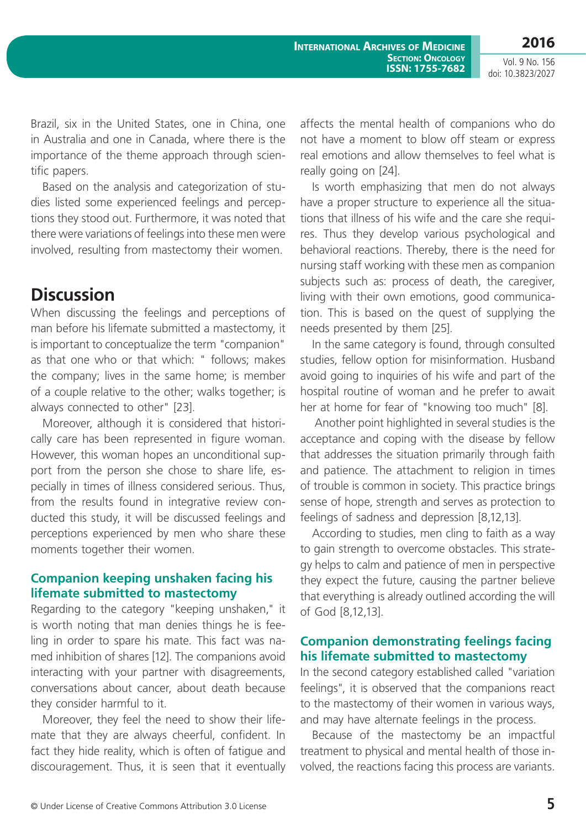Brazil, six in the United States, one in China, one in Australia and one in Canada, where there is the importance of the theme approach through scientific papers.

Based on the analysis and categorization of studies listed some experienced feelings and perceptions they stood out. Furthermore, it was noted that there were variations of feelings into these men were involved, resulting from mastectomy their women.

# **Discussion**

When discussing the feelings and perceptions of man before his lifemate submitted a mastectomy, it is important to conceptualize the term "companion" as that one who or that which: " follows; makes the company; lives in the same home; is member of a couple relative to the other; walks together; is always connected to other" [23].

Moreover, although it is considered that historically care has been represented in figure woman. However, this woman hopes an unconditional support from the person she chose to share life, especially in times of illness considered serious. Thus, from the results found in integrative review conducted this study, it will be discussed feelings and perceptions experienced by men who share these moments together their women.

#### **Companion keeping unshaken facing his lifemate submitted to mastectomy**

Regarding to the category "keeping unshaken," it is worth noting that man denies things he is feeling in order to spare his mate. This fact was named inhibition of shares [12]. The companions avoid interacting with your partner with disagreements, conversations about cancer, about death because they consider harmful to it.

Moreover, they feel the need to show their lifemate that they are always cheerful, confident. In fact they hide reality, which is often of fatigue and discouragement. Thus, it is seen that it eventually

affects the mental health of companions who do not have a moment to blow off steam or express real emotions and allow themselves to feel what is really going on [24].

Is worth emphasizing that men do not always have a proper structure to experience all the situations that illness of his wife and the care she requires. Thus they develop various psychological and behavioral reactions. Thereby, there is the need for nursing staff working with these men as companion subjects such as: process of death, the caregiver, living with their own emotions, good communication. This is based on the quest of supplying the needs presented by them [25].

In the same category is found, through consulted studies, fellow option for misinformation. Husband avoid going to inquiries of his wife and part of the hospital routine of woman and he prefer to await her at home for fear of "knowing too much" [8].

 Another point highlighted in several studies is the acceptance and coping with the disease by fellow that addresses the situation primarily through faith and patience. The attachment to religion in times of trouble is common in society. This practice brings sense of hope, strength and serves as protection to feelings of sadness and depression [8,12,13].

According to studies, men cling to faith as a way to gain strength to overcome obstacles. This strategy helps to calm and patience of men in perspective they expect the future, causing the partner believe that everything is already outlined according the will of God [8,12,13].

#### **Companion demonstrating feelings facing his lifemate submitted to mastectomy**

In the second category established called "variation feelings", it is observed that the companions react to the mastectomy of their women in various ways, and may have alternate feelings in the process.

Because of the mastectomy be an impactful treatment to physical and mental health of those involved, the reactions facing this process are variants.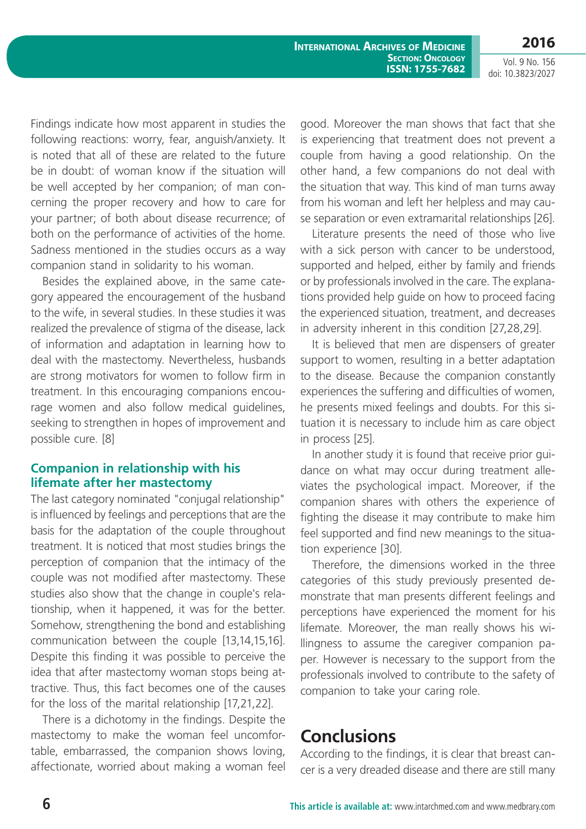**International Archives of Medicine SECTION: ONCOLOGY ISSN: 1755-7682** **2016**

Vol. 9 No. 156 doi: 10.3823/2027

Findings indicate how most apparent in studies the following reactions: worry, fear, anguish/anxiety. It is noted that all of these are related to the future be in doubt: of woman know if the situation will be well accepted by her companion; of man concerning the proper recovery and how to care for your partner; of both about disease recurrence; of both on the performance of activities of the home. Sadness mentioned in the studies occurs as a way companion stand in solidarity to his woman.

Besides the explained above, in the same category appeared the encouragement of the husband to the wife, in several studies. In these studies it was realized the prevalence of stigma of the disease, lack of information and adaptation in learning how to deal with the mastectomy. Nevertheless, husbands are strong motivators for women to follow firm in treatment. In this encouraging companions encourage women and also follow medical guidelines, seeking to strengthen in hopes of improvement and possible cure. [8]

#### **Companion in relationship with his lifemate after her mastectomy**

The last category nominated "conjugal relationship" is influenced by feelings and perceptions that are the basis for the adaptation of the couple throughout treatment. It is noticed that most studies brings the perception of companion that the intimacy of the couple was not modified after mastectomy. These studies also show that the change in couple's relationship, when it happened, it was for the better. Somehow, strengthening the bond and establishing communication between the couple [13,14,15,16]. Despite this finding it was possible to perceive the idea that after mastectomy woman stops being attractive. Thus, this fact becomes one of the causes for the loss of the marital relationship [17,21,22].

There is a dichotomy in the findings. Despite the mastectomy to make the woman feel uncomfortable, embarrassed, the companion shows loving, affectionate, worried about making a woman feel

good. Moreover the man shows that fact that she is experiencing that treatment does not prevent a couple from having a good relationship. On the other hand, a few companions do not deal with the situation that way. This kind of man turns away from his woman and left her helpless and may cause separation or even extramarital relationships [26].

Literature presents the need of those who live with a sick person with cancer to be understood, supported and helped, either by family and friends or by professionals involved in the care. The explanations provided help guide on how to proceed facing the experienced situation, treatment, and decreases in adversity inherent in this condition [27,28,29].

It is believed that men are dispensers of greater support to women, resulting in a better adaptation to the disease. Because the companion constantly experiences the suffering and difficulties of women, he presents mixed feelings and doubts. For this situation it is necessary to include him as care object in process [25].

In another study it is found that receive prior guidance on what may occur during treatment alleviates the psychological impact. Moreover, if the companion shares with others the experience of fighting the disease it may contribute to make him feel supported and find new meanings to the situation experience [30].

Therefore, the dimensions worked in the three categories of this study previously presented demonstrate that man presents different feelings and perceptions have experienced the moment for his lifemate. Moreover, the man really shows his willingness to assume the caregiver companion paper. However is necessary to the support from the professionals involved to contribute to the safety of companion to take your caring role.

### **Conclusions**

According to the findings, it is clear that breast cancer is a very dreaded disease and there are still many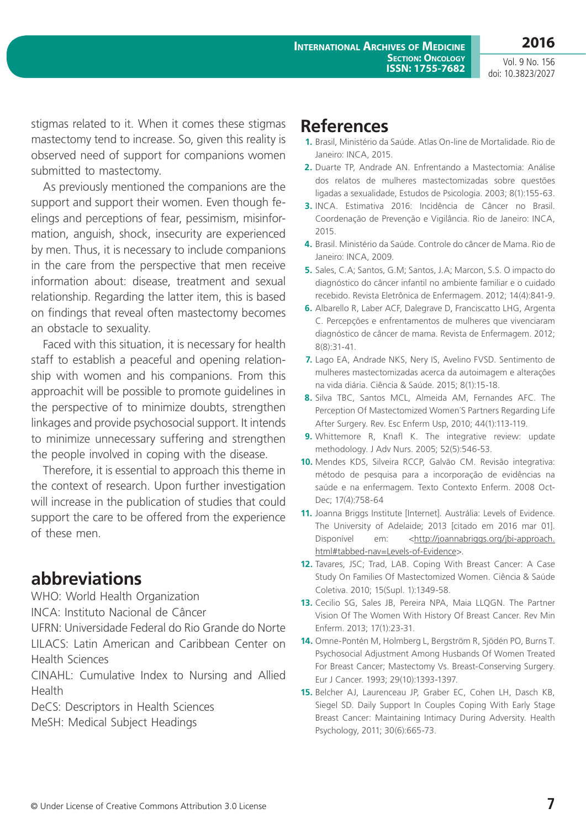**2016**

stigmas related to it. When it comes these stigmas mastectomy tend to increase. So, given this reality is observed need of support for companions women submitted to mastectomy.

As previously mentioned the companions are the support and support their women. Even though feelings and perceptions of fear, pessimism, misinformation, anguish, shock, insecurity are experienced by men. Thus, it is necessary to include companions in the care from the perspective that men receive information about: disease, treatment and sexual relationship. Regarding the latter item, this is based on findings that reveal often mastectomy becomes an obstacle to sexuality.

Faced with this situation, it is necessary for health staff to establish a peaceful and opening relationship with women and his companions. From this approachit will be possible to promote guidelines in the perspective of to minimize doubts, strengthen linkages and provide psychosocial support. It intends to minimize unnecessary suffering and strengthen the people involved in coping with the disease.

Therefore, it is essential to approach this theme in the context of research. Upon further investigation will increase in the publication of studies that could support the care to be offered from the experience of these men.

### **abbreviations**

WHO: World Health Organization

INCA: Instituto Nacional de Câncer

UFRN: Universidade Federal do Rio Grande do Norte LILACS: Latin American and Caribbean Center on Health Sciences

CINAHL: Cumulative Index to Nursing and Allied Health

DeCS: Descriptors in Health Sciences MeSH: Medical Subject Headings

### **References**

- **1.** Brasil, Ministério da Saúde. Atlas On-line de Mortalidade. Rio de Janeiro: INCA, 2015.
- **2.** Duarte TP, Andrade AN. Enfrentando a Mastectomia: Análise dos relatos de mulheres mastectomizadas sobre questões ligadas a sexualidade, Estudos de Psicologia. 2003; 8(1):155-63.
- **3.** INCA. Estimativa 2016: Incidência de Câncer no Brasil. Coordenação de Prevenção e Vigilância. Rio de Janeiro: INCA, 2015.
- **4.** Brasil. Ministério da Saúde. Controle do câncer de Mama. Rio de Janeiro: INCA, 2009.
- **5.** Sales, C.A; Santos, G.M; Santos, J.A; Marcon, S.S. O impacto do diagnóstico do câncer infantil no ambiente familiar e o cuidado recebido. Revista Eletrônica de Enfermagem. 2012; 14(4):841-9.
- **6.** Albarello R, Laber ACF, Dalegrave D, Franciscatto LHG, Argenta C. Percepções e enfrentamentos de mulheres que vivenciaram diagnóstico de câncer de mama. Revista de Enfermagem. 2012; 8(8):31-41.
- **7.** Lago EA, Andrade NKS, Nery IS, Avelino FVSD. Sentimento de mulheres mastectomizadas acerca da autoimagem e alterações na vida diária. Ciência & Saúde. 2015; 8(1):15-18.
- **8.** Silva TBC, Santos MCL, Almeida AM, Fernandes AFC. The Perception Of Mastectomized Women´S Partners Regarding Life After Surgery. Rev. Esc Enferm Usp, 2010; 44(1):113-119.
- **9.** Whittemore R, Knafl K. The integrative review: update methodology. J Adv Nurs. 2005; 52(5):546-53.
- **10.** Mendes KDS, Silveira RCCP, Galvão CM. Revisão integrativa: método de pesquisa para a incorporação de evidências na saúde e na enfermagem. Texto Contexto Enferm. 2008 Oct-Dec; 17(4):758-64
- **11.** Joanna Briggs Institute [Internet]. Austrália: Levels of Evidence. The University of Adelaide; 2013 [citado em 2016 mar 01]. Disponível em: <[http://joannabriggs.org/jbi-approach.](http://joannabriggs.org/jbi-approach.html#tabbed-nav=Levels-of-Evidence) [html#tabbed-nav=Levels-of-Evidence>](http://joannabriggs.org/jbi-approach.html#tabbed-nav=Levels-of-Evidence).
- **12.** Tavares, JSC; Trad, LAB. Coping With Breast Cancer: A Case Study On Families Of Mastectomized Women. Ciência & Saúde Coletiva. 2010; 15(Supl. 1):1349-58.
- **13.** Cecilio SG, Sales JB, Pereira NPA, Maia LLQGN. The Partner Vision Of The Women With History Of Breast Cancer. Rev Min Enferm. 2013; 17(1):23-31.
- **14.** Omne-Pontén M, Holmberg L, Bergström R, Sjödén PO, Burns T. Psychosocial Adjustment Among Husbands Of Women Treated For Breast Cancer; Mastectomy Vs. Breast-Conserving Surgery. Eur J Cancer. 1993; 29(10):1393-1397.
- **15.** Belcher AJ, Laurenceau JP, Graber EC, Cohen LH, Dasch KB, Siegel SD. Daily Support In Couples Coping With Early Stage Breast Cancer: Maintaining Intimacy During Adversity. Health Psychology, 2011; 30(6):665-73.